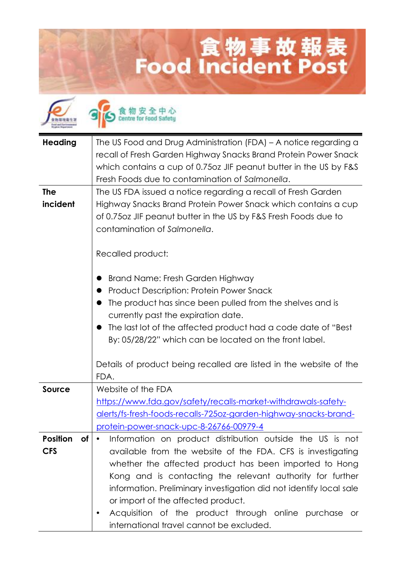## **Lood Incident Post**



食物安全中心

| <b>Heading</b>        | The US Food and Drug Administration (FDA) - A notice regarding a                                            |
|-----------------------|-------------------------------------------------------------------------------------------------------------|
|                       | recall of Fresh Garden Highway Snacks Brand Protein Power Snack                                             |
|                       | which contains a cup of 0.750z JIF peanut butter in the US by F&S                                           |
|                       | Fresh Foods due to contamination of Salmonella.                                                             |
| <b>The</b>            | The US FDA issued a notice regarding a recall of Fresh Garden                                               |
| incident              | Highway Snacks Brand Protein Power Snack which contains a cup                                               |
|                       | of 0.75oz JIF peanut butter in the US by F&S Fresh Foods due to                                             |
|                       | contamination of Salmonella.                                                                                |
|                       |                                                                                                             |
|                       | Recalled product:                                                                                           |
|                       |                                                                                                             |
|                       | Brand Name: Fresh Garden Highway                                                                            |
|                       | <b>Product Description: Protein Power Snack</b>                                                             |
|                       | The product has since been pulled from the shelves and is                                                   |
|                       | currently past the expiration date.                                                                         |
|                       | The last lot of the affected product had a code date of "Best"                                              |
|                       | By: 05/28/22" which can be located on the front label.                                                      |
|                       |                                                                                                             |
|                       | Details of product being recalled are listed in the website of the                                          |
|                       | FDA.                                                                                                        |
| <b>Source</b>         | Website of the FDA                                                                                          |
|                       | https://www.fda.gov/safety/recalls-market-withdrawals-safety-                                               |
|                       | alerts/fs-fresh-foods-recalls-725oz-garden-highway-snacks-brand-<br>protein-power-snack-upc-8-26766-00979-4 |
| <b>Position</b><br>of | Information on product distribution outside the US is not                                                   |
| <b>CFS</b>            | available from the website of the FDA. CFS is investigating                                                 |
|                       | whether the affected product has been imported to Hong                                                      |
|                       | Kong and is contacting the relevant authority for further                                                   |
|                       | information. Preliminary investigation did not identify local sale                                          |
|                       | or import of the affected product.                                                                          |
|                       | Acquisition of the product through online purchase or<br>٠                                                  |
|                       | international travel cannot be excluded.                                                                    |